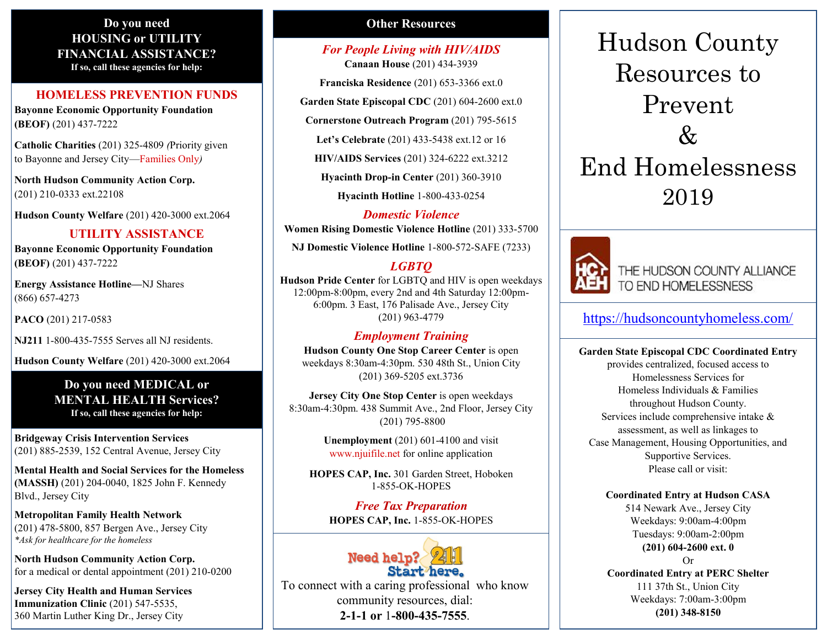#### **Do you need HOUSING or UTILITY FINANCIAL ASSISTANCE? If so, call these agencies for help:**

#### **HOMELESS PREVENTION FUNDS**

**Bayonne Economic Opportunity Foundation (BEOF)** (201) 437-7222

**Catholic Charities** (201) 325-4809 *(*Priority given to Bayonne and Jersey City—Families Only*)*

**North Hudson Community Action Corp.** (201) 210-0333 ext.22108

**Hudson County Welfare** (201) 420-3000 ext.2064

#### **UTILITY ASSISTANCE**

**Bayonne Economic Opportunity Foundation (BEOF)** (201) 437-7222

**Energy Assistance Hotline—**NJ Shares (866) 657-4273

**PACO** (201) 217-0583

**NJ211** 1-800-435-7555 Serves all NJ residents.

**Hudson County Welfare** (201) 420-3000 ext.2064

**Do you need MEDICAL or MENTAL HEALTH Services? If so, call these agencies for help:**

**Bridgeway Crisis Intervention Services** (201) 885-2539, 152 Central Avenue, Jersey City

**Mental Health and Social Services for the Homeless (MASSH)** (201) 204-0040, 1825 John F. Kennedy Blvd., Jersey City

**Metropolitan Family Health Network** (201) 478-5800, 857 Bergen Ave., Jersey City *\*Ask for healthcare for the homeless*

**North Hudson Community Action Corp.** for a medical or dental appointment (201) 210-0200

**Jersey City Health and Human Services Immunization Clinic** (201) 547-5535, 360 Martin Luther King Dr., Jersey City

### **Other Resources**

*For People Living with HIV/AIDS* **Canaan House** (201) 434-3939

**Franciska Residence** (201) 653-3366 ext.0

**Garden State Episcopal CDC** (201) 604-2600 ext.0

**Cornerstone Outreach Program** (201) 795-5615

**Let's Celebrate** (201) 433-5438 ext.12 or 16

**HIV/AIDS Services** (201) 324-6222 ext.3212

**Hyacinth Drop-in Center** (201) 360-3910

**Hyacinth Hotline** 1-800-433-0254

*Domestic Violence*

**Women Rising Domestic Violence Hotline** (201) 333-5700

**NJ Domestic Violence Hotline** 1-800-572-SAFE (7233)

## *LGBTQ*

**Hudson Pride Center** for LGBTQ and HIV is open weekdays 12:00pm-8:00pm, every 2nd and 4th Saturday 12:00pm-6:00pm. 3 East, 176 Palisade Ave., Jersey City (201) 963-4779

#### *Employment Training*

**Hudson County One Stop Career Center** is open weekdays 8:30am-4:30pm. 530 48th St., Union City (201) 369-5205 ext.3736

**Jersey City One Stop Center** is open weekdays 8:30am-4:30pm. 438 Summit Ave., 2nd Floor, Jersey City (201) 795-8800

> **Unemployment** (201) 601-4100 and visit www.njuifile.net for online application

**HOPES CAP, Inc.** 301 Garden Street, Hoboken 1-855-OK-HOPES

*Free Tax Preparation*  **HOPES CAP, Inc.** 1-855-OK-HOPES



To connect with a caring professional who know community resources, dial: **2-1-1 or** 1**-800-435-7555**.

# Hudson County Resources to Prevent  $\mathcal{X}_{I}$ End Homelessness 2019



THE HUDSON COUNTY ALLIANCE TO END HOMELESSNESS

[https://hudsoncountyhomeless.com/](http://hudsoncountyhomeless.com/)

**Garden State Episcopal CDC Coordinated Entry** provides centralized, focused access to Homelessness Services for Homeless Individuals & Families throughout Hudson County. Services include comprehensive intake & assessment, as well as linkages to Case Management, Housing Opportunities, and Supportive Services. Please call or visit:

#### **Coordinated Entry at Hudson CASA**

514 Newark Ave., Jersey City Weekdays: 9:00am-4:00pm Tuesdays: 9:00am-2:00pm **(201) 604-2600 ext. 0** Or

**Coordinated Entry at PERC Shelter** 111 37th St., Union City Weekdays: 7:00am-3:00pm **(201) 348-8150**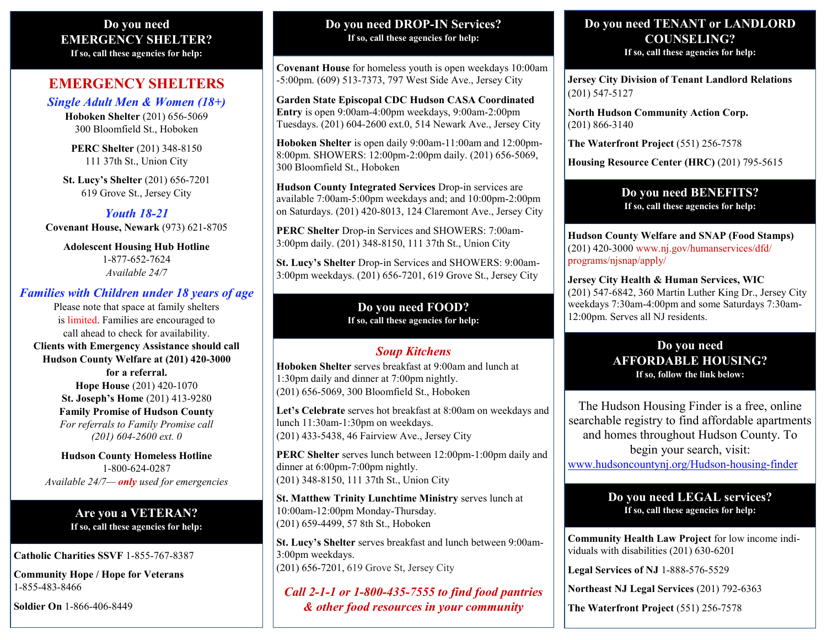#### **Do you need EMERGENCY SHELTER? If so, call these agencies for help:**

## **EMERGENCY SHELTERS**

*Single Adult Men & Women (18+)* **Hoboken Shelter** (201) 656-5069 300 Bloomfield St., Hoboken

> **PERC Shelter** (201) 348-8150 111 37th St., Union City

**St. Lucy's Shelter** (201) 656-7201 619 Grove St., Jersey City

*Youth 18-21* **Covenant House, Newark** (973) 621-8705

> **Adolescent Housing Hub Hotline** 1-877-652-7624 *Available 24/7*

## *Families with Children under 18 years of age*

Please note that space at family shelters is limited. Families are encouraged to call ahead to check for availability. **Clients with Emergency Assistance should call Hudson County Welfare at (201) 420-3000 for a referral. Hope House** (201) 420-1070 **St. Joseph's Home** (201) 413-9280 **Family Promise of Hudson County** *For referrals to Family Promise call (201) 604-2600 ext. 0*

**Hudson County Homeless Hotline** 1-800-624-0287 *Available 24/7— only used for emergencies*

> **Are you a VETERAN? If so, call these agencies for help:**

**Catholic Charities SSVF** 1-855-767-8387

**Community Hope / Hope for Veterans** 1-855-483-8466

**Soldier On** 1-866-406-8449

#### **Do you need DROP-IN Services? If so, call these agencies for help:**

**Covenant House** for homeless youth is open weekdays 10:00am -5:00pm. (609) 513-7373, 797 West Side Ave., Jersey City

**Garden State Episcopal CDC Hudson CASA Coordinated Entry** is open 9:00am-4:00pm weekdays, 9:00am-2:00pm Tuesdays. (201) 604-2600 ext.0, 514 Newark Ave., Jersey City

**Hoboken Shelter** is open daily 9:00am-11:00am and 12:00pm-8:00pm. SHOWERS: 12:00pm-2:00pm daily. (201) 656-5069, 300 Bloomfield St., Hoboken

**Hudson County Integrated Services** Drop-in services are available 7:00am-5:00pm weekdays and; and 10:00pm-2:00pm on Saturdays. (201) 420-8013, 124 Claremont Ave., Jersey City

**PERC Shelter** Drop-in Services and SHOWERS: 7:00am-3:00pm daily. (201) 348-8150, 111 37th St., Union City

**St. Lucy's Shelter** Drop-in Services and SHOWERS: 9:00am-3:00pm weekdays. (201) 656-7201, 619 Grove St., Jersey City

#### **Do you need FOOD? If so, call these agencies for help:**

## *Soup Kitchens*

**Hoboken Shelter** serves breakfast at 9:00am and lunch at 1:30pm daily and dinner at 7:00pm nightly. (201) 656-5069, 300 Bloomfield St., Hoboken

**Let's Celebrate** serves hot breakfast at 8:00am on weekdays and lunch 11:30am-1:30pm on weekdays. (201) 433-5438, 46 Fairview Ave., Jersey City

**PERC Shelter** serves lunch between 12:00pm-1:00pm daily and dinner at 6:00pm-7:00pm nightly. (201) 348-8150, 111 37th St., Union City

**St. Matthew Trinity Lunchtime Ministry** serves lunch at 10:00am-12:00pm Monday-Thursday. (201) 659-4499, 57 8th St., Hoboken

**St. Lucy's Shelter** serves breakfast and lunch between 9:00am-3:00pm weekdays. (201) 656-7201, 619 Grove St, Jersey City

*Call 2-1-1 or 1-800-435-7555 to find food pantries & other food resources in your community*

# **Do you need TENANT or LANDLORD COUNSELING?**

**If so, call these agencies for help:**

**Jersey City Division of Tenant Landlord Relations**  (201) 547-5127

**North Hudson Community Action Corp.**  (201) 866-3140

**The Waterfront Project** (551) 256-7578

**Housing Resource Center (HRC)** (201) 795-5615

#### **Do you need BENEFITS? If so, call these agencies for help:**

**Hudson County Welfare and SNAP (Food Stamps)**  (201) 420-3000 www.nj.gov/humanservices/dfd/ programs/njsnap/apply/

**Jersey City Health & Human Services, WIC** (201) 547-6842, 360 Martin Luther King Dr., Jersey City weekdays 7:30am-4:00pm and some Saturdays 7:30am-12:00pm. Serves all NJ residents.

### **Do you need AFFORDABLE HOUSING? If so, follow the link below:**

The Hudson Housing Finder is a free, online searchable registry to find affordable apartments and homes throughout Hudson County. To begin your search, visit:

[www.hudsoncountynj.org/Hudson](http://www.hudsoncountynj.org/Hudson-housing-finder)-housing-finder

## **Do you need LEGAL services? If so, call these agencies for help:**

**Community Health Law Project** for low income individuals with disabilities (201) 630-6201

**Legal Services of NJ** 1-888-576-5529

**Northeast NJ Legal Services** (201) 792-6363

**The Waterfront Project** (551) 256-7578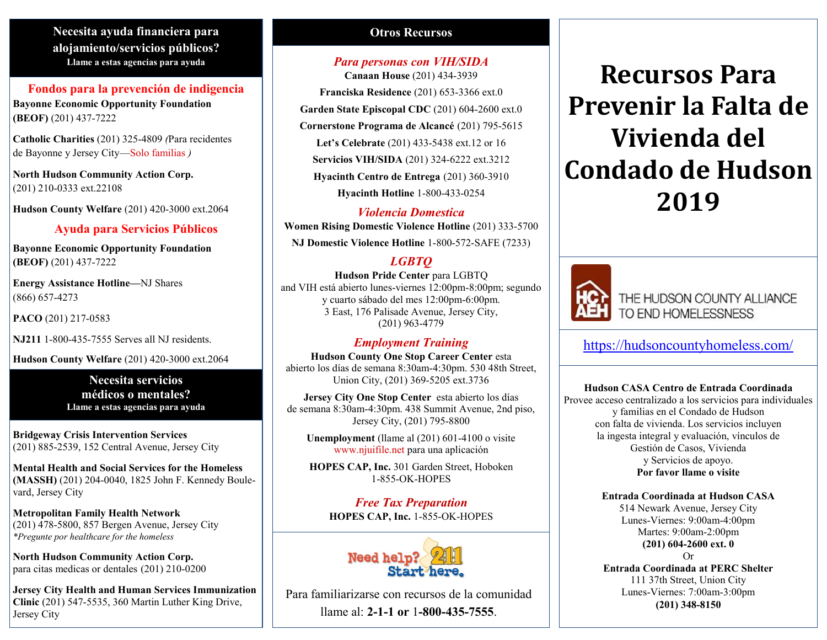## **Necesita ayuda financiera para alojamiento/servicios públicos? Llame a estas agencias para ayuda**

#### **Fondos para la prevención de indigencia Bayonne Economic Opportunity Foundation (BEOF)** (201) 437-7222

**Catholic Charities** (201) 325-4809 *(*Para recidentes de Bayonne y Jersey City—Solo familias *)*

**North Hudson Community Action Corp.** (201) 210-0333 ext.22108

**Hudson County Welfare** (201) 420-3000 ext.2064

### **Ayuda para Servicios Públicos**

**Bayonne Economic Opportunity Foundation (BEOF)** (201) 437-7222

**Energy Assistance Hotline—**NJ Shares (866) 657-4273

**PACO** (201) 217-0583

**NJ211** 1-800-435-7555 Serves all NJ residents.

**Hudson County Welfare** (201) 420-3000 ext.2064

**Necesita servicios médicos o mentales? Llame a estas agencias para ayuda**

**Bridgeway Crisis Intervention Services**  (201) 885-2539, 152 Central Avenue, Jersey City

**Mental Health and Social Services for the Homeless (MASSH)** (201) 204-0040, 1825 John F. Kennedy Boulevard, Jersey City

**Metropolitan Family Health Network**  (201) 478-5800, 857 Bergen Avenue, Jersey City *\*Pregunte por healthcare for the homeless*

**North Hudson Community Action Corp.**  para citas medicas or dentales (201) 210-0200

**Jersey City Health and Human Services Immunization Clinic** (201) 547-5535, 360 Martin Luther King Drive, Jersey City

## **Otros Recursos**

# *Para personas con VIH/SIDA*

**Canaan House** (201) 434-3939 **Franciska Residence** (201) 653-3366 ext.0 **Garden State Episcopal CDC** (201) 604-2600 ext.0 **Cornerstone Programa de Alcancé** (201) 795-5615 **Let's Celebrate** (201) 433-5438 ext.12 or 16 **Servicios VIH/SIDA** (201) 324-6222 ext.3212 **Hyacinth Centro de Entrega** (201) 360-3910 **Hyacinth Hotline** 1-800-433-0254

*Violencia Domestica*

**Women Rising Domestic Violence Hotline** (201) 333-5700 **NJ Domestic Violence Hotline** 1-800-572-SAFE (7233)

# *LGBTQ*

**Hudson Pride Center** para LGBTQ and VIH está abierto lunes-viernes 12:00pm-8:00pm; segundo y cuarto sábado del mes 12:00pm-6:00pm. 3 East, 176 Palisade Avenue, Jersey City, (201) 963-4779

## *Employment Training*

**Hudson County One Stop Career Center** esta abierto los días de semana 8:30am-4:30pm. 530 48th Street, Union City, (201) 369-5205 ext.3736

**Jersey City One Stop Center** esta abierto los días de semana 8:30am-4:30pm. 438 Summit Avenue, 2nd piso, Jersey City, (201) 795-8800

**Unemployment** (llame al (201) 601-4100 o visite www.njuifile.net para una aplicación

**HOPES CAP, Inc.** 301 Garden Street, Hoboken 1-855-OK-HOPES

*Free Tax Preparation*  **HOPES CAP, Inc.** 1-855-OK-HOPES



Para familiarizarse con recursos de la comunidad llame al: **2-1-1 or** 1**-800-435-7555**.

# **Recursos Para Prevenir la Falta de Vivienda del Condado de Hudson 2019**



THE HUDSON COUNTY ALLIANCE TO END HOMELESSNESS

[https://hudsoncountyhomeless.com/](http://hudsoncountyhomeless.com/)

**Hudson CASA Centro de Entrada Coordinada** Provee acceso centralizado a los servicios para individuales y familias en el Condado de Hudson con falta de vivienda. Los servicios incluyen la ingesta integral y evaluación, vínculos de Gestión de Casos, Vivienda y Servicios de apoyo. **Por favor llame o visite**

#### **Entrada Coordinada at Hudson CASA**

514 Newark Avenue, Jersey City Lunes-Viernes: 9:00am-4:00pm Martes: 9:00am-2:00pm **(201) 604-2600 ext. 0** Or

**Entrada Coordinada at PERC Shelter** 111 37th Street, Union City Lunes-Viernes: 7:00am-3:00pm **(201) 348-8150**